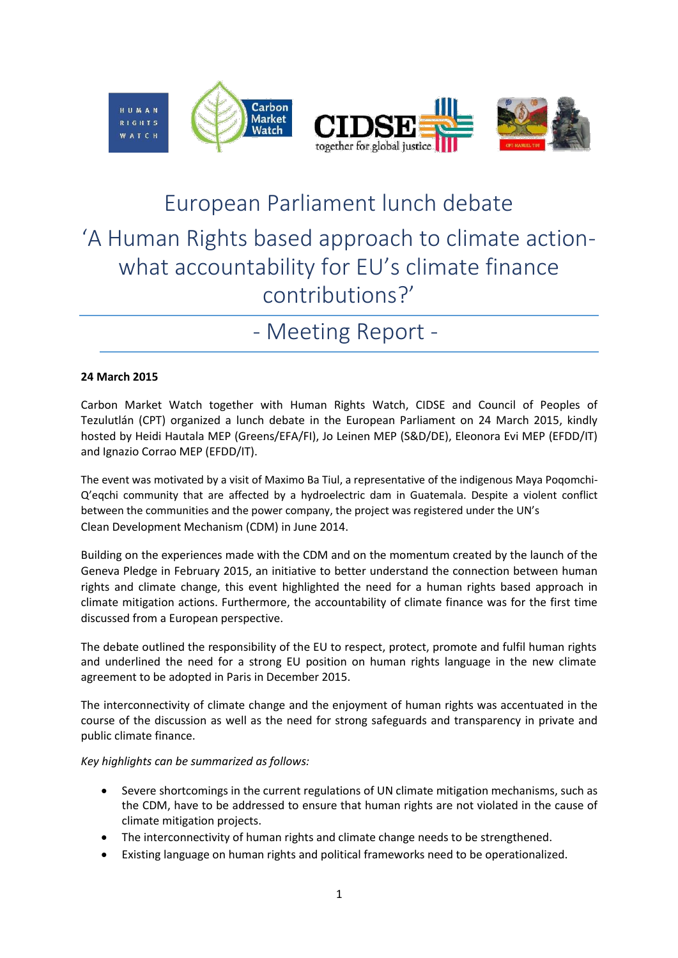

## European Parliament lunch debate 'A Human Rights based approach to climate actionwhat accountability for EU's climate finance contributions?'

## - Meeting Report -

## **24 March 2015**

Carbon Market Watch together with Human Rights Watch, CIDSE and Council of Peoples of Tezulutlán (CPT) organized a lunch debate in the European Parliament on 24 March 2015, kindly hosted by Heidi Hautala MEP (Greens/EFA/FI), Jo Leinen MEP (S&D/DE), Eleonora Evi MEP (EFDD/IT) and Ignazio Corrao MEP (EFDD/IT).

The event was motivated by a visit of Maximo Ba Tiul, a representative of the indigenous Maya Poqomchi-Q'eqchi community that are affected by a hydroelectric dam in Guatemala. Despite a violent conflict between the communities and the power company, the project was registered under the UN's Clean Development Mechanism (CDM) in June 2014.

Building on the experiences made with the CDM and on the momentum created by the launch of the Geneva Pledge in February 2015, an initiative to better understand the connection between human rights and climate change, this event highlighted the need for a human rights based approach in climate mitigation actions. Furthermore, the accountability of climate finance was for the first time discussed from a European perspective.

The debate outlined the responsibility of the EU to respect, protect, promote and fulfil human rights and underlined the need for a strong EU position on human rights language in the new climate agreement to be adopted in Paris in December 2015.

The interconnectivity of climate change and the enjoyment of human rights was accentuated in the course of the discussion as well as the need for strong safeguards and transparency in private and public climate finance.

*Key highlights can be summarized as follows:*

- Severe shortcomings in the current regulations of UN climate mitigation mechanisms, such as the CDM, have to be addressed to ensure that human rights are not violated in the cause of climate mitigation projects.
- The interconnectivity of human rights and climate change needs to be strengthened.
- Existing language on human rights and political frameworks need to be operationalized.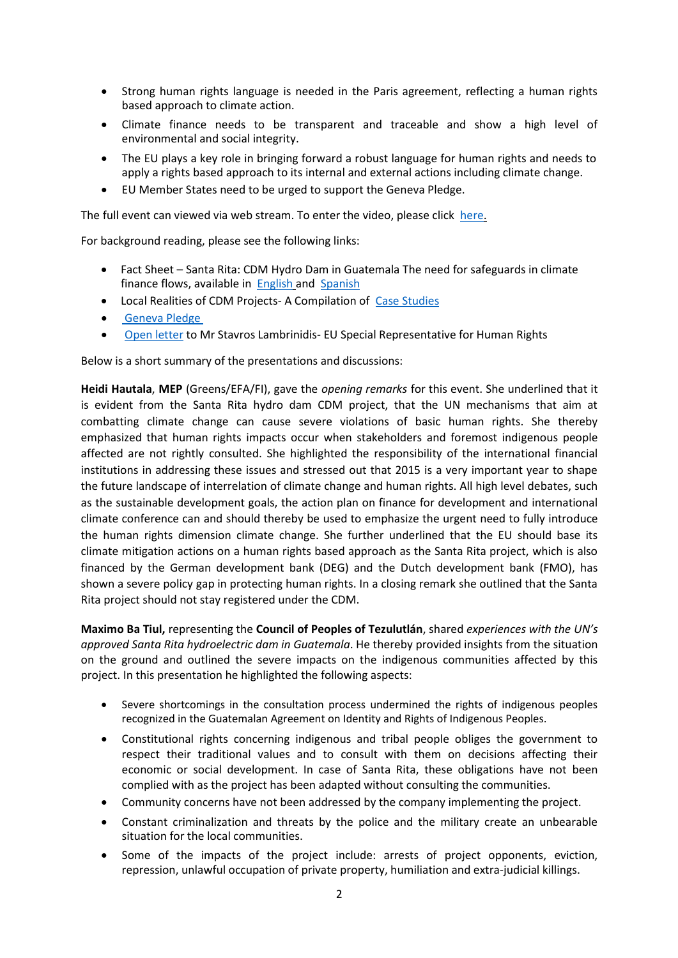- Strong human rights language is needed in the Paris agreement, reflecting a human rights based approach to climate action.
- Climate finance needs to be transparent and traceable and show a high level of environmental and social integrity.
- The EU plays a key role in bringing forward a robust language for human rights and needs to apply a rights based approach to its internal and external actions including climate change.
- EU Member States need to be urged to support the Geneva Pledge.

The full event can viewed via web stream. To enter the video, please clic[k here.](http://cdn.streamovations.be/events/150323_ep_human_rights-based-approach-climate-action.php)

For background reading, please see the following links:

- Fact Sheet Santa Rita: CDM Hydro Dam in Guatemala The need for safeguards in climate finance flows, available in [English](http://carbonmarketwatch.org/wp-content/uploads/2015/03/Fact-Sheet-FINAL-ENG1.pdf) and [Spanish](http://carbonmarketwatch.org/wp-content/uploads/2015/03/Fact-Sheet-FINAL-ESP.pdf)
- Local Realities of CDM Projects- A Compilation of [Case Studies](http://carbonmarketwatch.org/wp-content/uploads/2015/02/CDM-Cases-Studies.pdf)
- [Geneva Pledge](http://carbonmarketwatch.org/wp-content/uploads/2015/02/The-Geneva-Pledge-13FEB2015.pdf)
- [Open letter](file:///C:/Users/Eva/AppData/Local/Microsoft/Windows/Temporary%20Internet%20Files/Content.Outlook/615UYJXX/Open%20letter%20to%20Mr%20Stavros%20Lambrinidis%20â€“%20EU%20Special%20Representative%20for%20Human%20Rights) to Mr Stavros Lambrinidis- EU Special Representative for Human Rights

Below is a short summary of the presentations and discussions:

**Heidi Hautala**, **MEP** (Greens/EFA/FI), gave the *opening remarks* for this event. She underlined that it is evident from the Santa Rita hydro dam CDM project, that the UN mechanisms that aim at combatting climate change can cause severe violations of basic human rights. She thereby emphasized that human rights impacts occur when stakeholders and foremost indigenous people affected are not rightly consulted. She highlighted the responsibility of the international financial institutions in addressing these issues and stressed out that 2015 is a very important year to shape the future landscape of interrelation of climate change and human rights. All high level debates, such as the sustainable development goals, the action plan on finance for development and international climate conference can and should thereby be used to emphasize the urgent need to fully introduce the human rights dimension climate change. She further underlined that the EU should base its climate mitigation actions on a human rights based approach as the Santa Rita project, which is also financed by the German development bank (DEG) and the Dutch development bank (FMO), has shown a severe policy gap in protecting human rights. In a closing remark she outlined that the Santa Rita project should not stay registered under the CDM.

**Maximo Ba Tiul,** representing the **Council of Peoples of Tezulutlán**, shared *experiences with the UN's approved Santa Rita hydroelectric dam in Guatemala*. He thereby provided insights from the situation on the ground and outlined the severe impacts on the indigenous communities affected by this project. In this presentation he highlighted the following aspects:

- Severe shortcomings in the consultation process undermined the rights of indigenous peoples recognized in the Guatemalan Agreement on Identity and Rights of Indigenous Peoples.
- Constitutional rights concerning indigenous and tribal people obliges the government to respect their traditional values and to consult with them on decisions affecting their economic or social development. In case of Santa Rita, these obligations have not been complied with as the project has been adapted without consulting the communities.
- Community concerns have not been addressed by the company implementing the project.
- Constant criminalization and threats by the police and the military create an unbearable situation for the local communities.
- Some of the impacts of the project include: arrests of project opponents, eviction, repression, unlawful occupation of private property, humiliation and extra-judicial killings.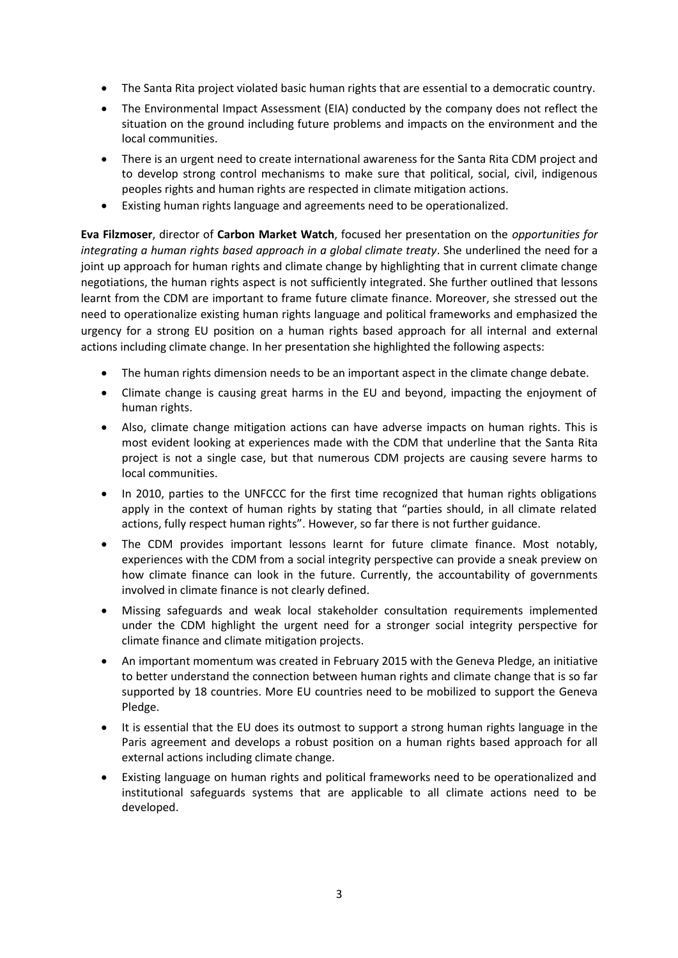- The Santa Rita project violated basic human rights that are essential to a democratic country.
- The Environmental Impact Assessment (EIA) conducted by the company does not reflect the situation on the ground including future problems and impacts on the environment and the local communities.
- There is an urgent need to create international awareness for the Santa Rita CDM project and to develop strong control mechanisms to make sure that political, social, civil, indigenous peoples rights and human rights are respected in climate mitigation actions.
- Existing human rights language and agreements need to be operationalized.

**Eva Filzmoser**, director of **Carbon Market Watch**, focused her presentation on the *opportunities for integrating a human rights based approach in a global climate treaty*. She underlined the need for a joint up approach for human rights and climate change by highlighting that in current climate change negotiations, the human rights aspect is not sufficiently integrated. She further outlined that lessons learnt from the CDM are important to frame future climate finance. Moreover, she stressed out the need to operationalize existing human rights language and political frameworks and emphasized the urgency for a strong EU position on a human rights based approach for all internal and external actions including climate change. In her presentation she highlighted the following aspects:

- The human rights dimension needs to be an important aspect in the climate change debate.
- Climate change is causing great harms in the EU and beyond, impacting the enjoyment of human rights.
- Also, climate change mitigation actions can have adverse impacts on human rights. This is most evident looking at experiences made with the CDM that underline that the Santa Rita project is not a single case, but that numerous CDM projects are causing severe harms to local communities.
- In 2010, parties to the UNFCCC for the first time recognized that human rights obligations apply in the context of human rights by stating that "parties should, in all climate related actions, fully respect human rights". However, so far there is not further guidance.
- The CDM provides important lessons learnt for future climate finance. Most notably, experiences with the CDM from a social integrity perspective can provide a sneak preview on how climate finance can look in the future. Currently, the accountability of governments involved in climate finance is not clearly defined.
- Missing safeguards and weak local stakeholder consultation requirements implemented under the CDM highlight the urgent need for a stronger social integrity perspective for climate finance and climate mitigation projects.
- An important momentum was created in February 2015 with the Geneva Pledge, an initiative to better understand the connection between human rights and climate change that is so far supported by 18 countries. More EU countries need to be mobilized to support the Geneva Pledge.
- It is essential that the EU does its outmost to support a strong human rights language in the Paris agreement and develops a robust position on a human rights based approach for all external actions including climate change.
- Existing language on human rights and political frameworks need to be operationalized and institutional safeguards systems that are applicable to all climate actions need to be developed.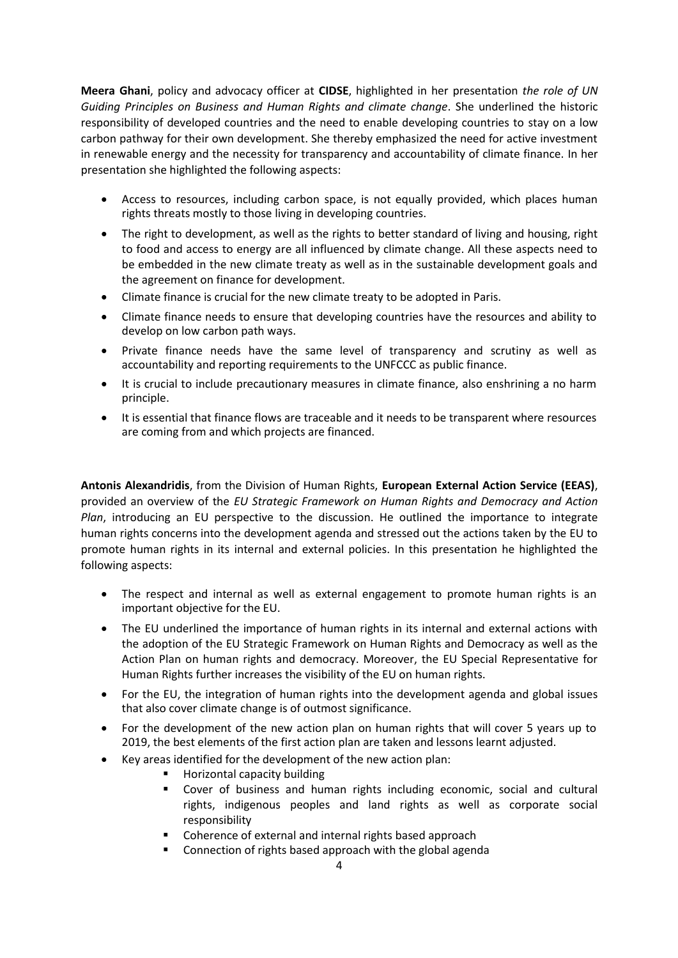**Meera Ghani**, policy and advocacy officer at **CIDSE**, highlighted in her presentation *the role of UN Guiding Principles on Business and Human Rights and climate change*. She underlined the historic responsibility of developed countries and the need to enable developing countries to stay on a low carbon pathway for their own development. She thereby emphasized the need for active investment in renewable energy and the necessity for transparency and accountability of climate finance. In her presentation she highlighted the following aspects:

- Access to resources, including carbon space, is not equally provided, which places human rights threats mostly to those living in developing countries.
- The right to development, as well as the rights to better standard of living and housing, right to food and access to energy are all influenced by climate change. All these aspects need to be embedded in the new climate treaty as well as in the sustainable development goals and the agreement on finance for development.
- Climate finance is crucial for the new climate treaty to be adopted in Paris.
- Climate finance needs to ensure that developing countries have the resources and ability to develop on low carbon path ways.
- Private finance needs have the same level of transparency and scrutiny as well as accountability and reporting requirements to the UNFCCC as public finance.
- It is crucial to include precautionary measures in climate finance, also enshrining a no harm principle.
- It is essential that finance flows are traceable and it needs to be transparent where resources are coming from and which projects are financed.

**Antonis Alexandridis**, from the Division of Human Rights, **European External Action Service (EEAS)**, provided an overview of the *EU Strategic Framework on Human Rights and Democracy and Action Plan*, introducing an EU perspective to the discussion. He outlined the importance to integrate human rights concerns into the development agenda and stressed out the actions taken by the EU to promote human rights in its internal and external policies. In this presentation he highlighted the following aspects:

- The respect and internal as well as external engagement to promote human rights is an important objective for the EU.
- The EU underlined the importance of human rights in its internal and external actions with the adoption of the EU Strategic Framework on Human Rights and Democracy as well as the Action Plan on human rights and democracy. Moreover, the EU Special Representative for Human Rights further increases the visibility of the EU on human rights.
- For the EU, the integration of human rights into the development agenda and global issues that also cover climate change is of outmost significance.
- For the development of the new action plan on human rights that will cover 5 years up to 2019, the best elements of the first action plan are taken and lessons learnt adjusted.
- Key areas identified for the development of the new action plan:
	- Horizontal capacity building
	- Cover of business and human rights including economic, social and cultural rights, indigenous peoples and land rights as well as corporate social responsibility
	- **Coherence of external and internal rights based approach**
	- **EXECONNET CONNECTION OF THE CONNECT ASSESS**